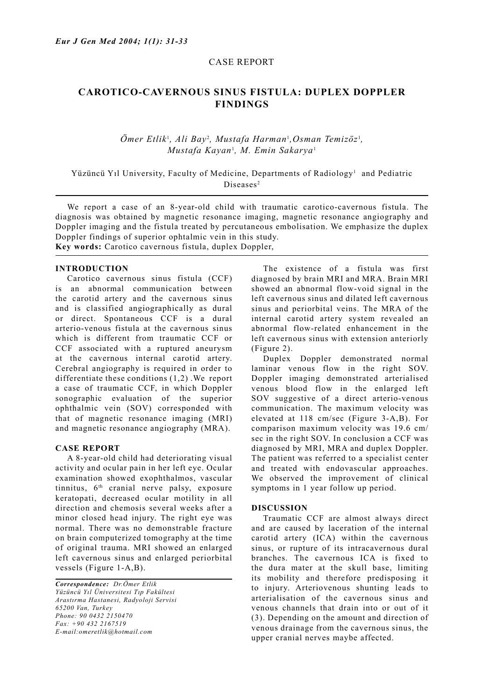## CASE REPORT

# **CAROTICO-CAVERNOUS SINUS FISTULA: DUPLEX DOPPLER FINDINGS**

## $\ddot{O}$ mer Etlik<sup>1</sup>, Ali Bay<sup>2</sup>, Mustafa Harman<sup>1</sup>, Osman Temizöz<sup>1</sup>, *Mustafa Kayan*<sup>1</sup> *, M. Emin Sakarya*<sup>1</sup>

Yüzüncü Yıl University, Faculty of Medicine, Departments of Radiology<sup>1</sup> and Pediatric Diseases<sup>2</sup>

 We report a case of an 8-year-old child with traumatic carotico-cavernous fistula. The diagnosis was obtained by magnetic resonance imaging, magnetic resonance angiography and Doppler imaging and the fistula treated by percutaneous embolisation. We emphasize the duplex Doppler findings of superior ophtalmic vein in this study. **Key words:** Carotico cavernous fistula, duplex Doppler,

#### **INTRODUCTION**

 Carotico cavernous sinus fistula (CCF) is an abnormal communication between the carotid artery and the cavernous sinus and is classified angiographically as dural or direct. Spontaneous CCF is a dural arterio-venous fistula at the cavernous sinus which is different from traumatic CCF or CCF associated with a ruptured aneurysm at the cavernous internal carotid artery. Cerebral angiography is required in order to differentiate these conditions (1,2) .We report a case of traumatic CCF, in which Doppler sonographic evaluation of the superior ophthalmic vein (SOV) corresponded with that of magnetic resonance imaging (MRI) and magnetic resonance angiography (MRA).

#### **CASE REPORT**

 A 8-year-old child had deteriorating visual activity and ocular pain in her left eye. Ocular examination showed exophthalmos, vascular tinnitus,  $6<sup>th</sup>$  cranial nerve palsy, exposure keratopati, decreased ocular motility in all direction and chemosis several weeks after a minor closed head injury. The right eye was normal. There was no demonstrable fracture on brain computerized tomography at the time of original trauma. MRI showed an enlarged left cavernous sinus and enlarged periorbital vessels (Figure 1-A,B).

*Correspondence: Dr.Ömer Etlik Yüzüncü Yıl Üniversitesi Tıp Fakültesi Arastırma Hastanesi, Radyoloji Servisi 65200 Van, Turkey Phone: 90 0432 2150470 Fax: +90 432 2167519 E-mail:omeretlik@hotmail.com*

 The existence of a fistula was first diagnosed by brain MRI and MRA. Brain MRI showed an abnormal flow-void signal in the left cavernous sinus and dilated left cavernous sinus and periorbital veins. The MRA of the internal carotid artery system revealed an abnormal flow-related enhancement in the left cavernous sinus with extension anteriorly (Figure 2).

 Duplex Doppler demonstrated normal laminar venous flow in the right SOV. Doppler imaging demonstrated arterialised venous blood flow in the enlarged left SOV suggestive of a direct arterio-venous communication. The maximum velocity was elevated at 118 cm/sec (Figure 3-A,B). For comparison maximum velocity was 19.6 cm/ sec in the right SOV. In conclusion a CCF was diagnosed by MRI, MRA and duplex Doppler. The patient was referred to a specialist center and treated with endovascular approaches. We observed the improvement of clinical symptoms in 1 year follow up period.

#### **DISCUSSION**

 Traumatic CCF are almost always direct and are caused by laceration of the internal carotid artery (ICA) within the cavernous sinus, or rupture of its intracavernous dural branches. The cavernous ICA is fixed to the dura mater at the skull base, limiting its mobility and therefore predisposing it to injury. Arteriovenous shunting leads to arterialisation of the cavernous sinus and venous channels that drain into or out of it (3). Depending on the amount and direction of venous drainage from the cavernous sinus, the upper cranial nerves maybe affected.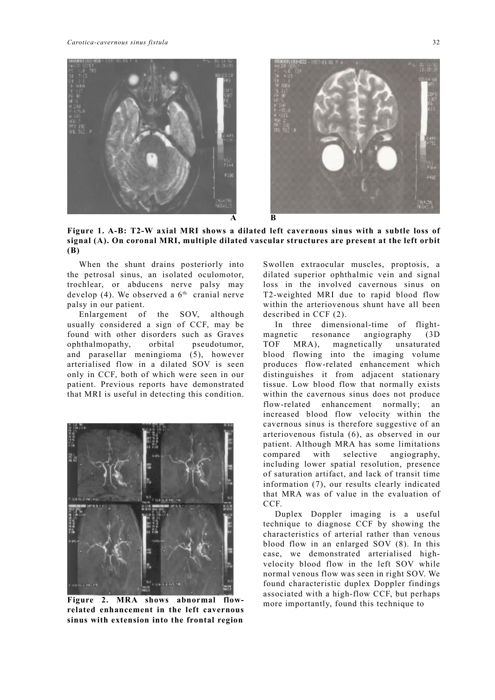

**Figure 1. A-B: T2-W axial MRI shows a dilated left cavernous sinus with a subtle loss of signal (A). On coronal MRI, multiple dilated vascular structures are present at the left orbit (B)** 

 When the shunt drains posteriorly into the petrosal sinus, an isolated oculomotor, trochlear, or abducens nerve palsy may develop (4). We observed a  $6<sup>th</sup>$  cranial nerve palsy in our patient.

 Enlargement of the SOV, although usually considered a sign of CCF, may be found with other disorders such as Graves ophthalmopathy, orbital pseudotumor, and parasellar meningioma (5), however arterialised flow in a dilated SOV is seen only in CCF, both of which were seen in our patient. Previous reports have demonstrated that MRI is useful in detecting this condition.



**Figure 2. MRA shows abnormal flowrelated enhancement in the left cavernous sinus with extension into the frontal region** 

Swollen extraocular muscles, proptosis, a dilated superior ophthalmic vein and signal loss in the involved cavernous sinus on T2-weighted MRI due to rapid blood flow within the arteriovenous shunt have all been described in CCF (2).

 In three dimensional-time of flightmagnetic resonance angiography (3D TOF MRA), magnetically unsaturated blood flowing into the imaging volume produces flow-related enhancement which distinguishes it from adjacent stationary tissue. Low blood flow that normally exists within the cavernous sinus does not produce flow-related enhancement normally; an increased blood flow velocity within the cavernous sinus is therefore suggestive of an arteriovenous fistula (6), as observed in our patient. Although MRA has some limitations compared with selective angiography, including lower spatial resolution, presence of saturation artifact, and lack of transit time information (7), our results clearly indicated that MRA was of value in the evaluation of CCF.

 Duplex Doppler imaging is a useful technique to diagnose CCF by showing the characteristics of arterial rather than venous blood flow in an enlarged SOV (8). In this case, we demonstrated arterialised highvelocity blood flow in the left SOV while normal venous flow was seen in right SOV. We found characteristic duplex Doppler findings associated with a high-flow CCF, but perhaps more importantly, found this technique to